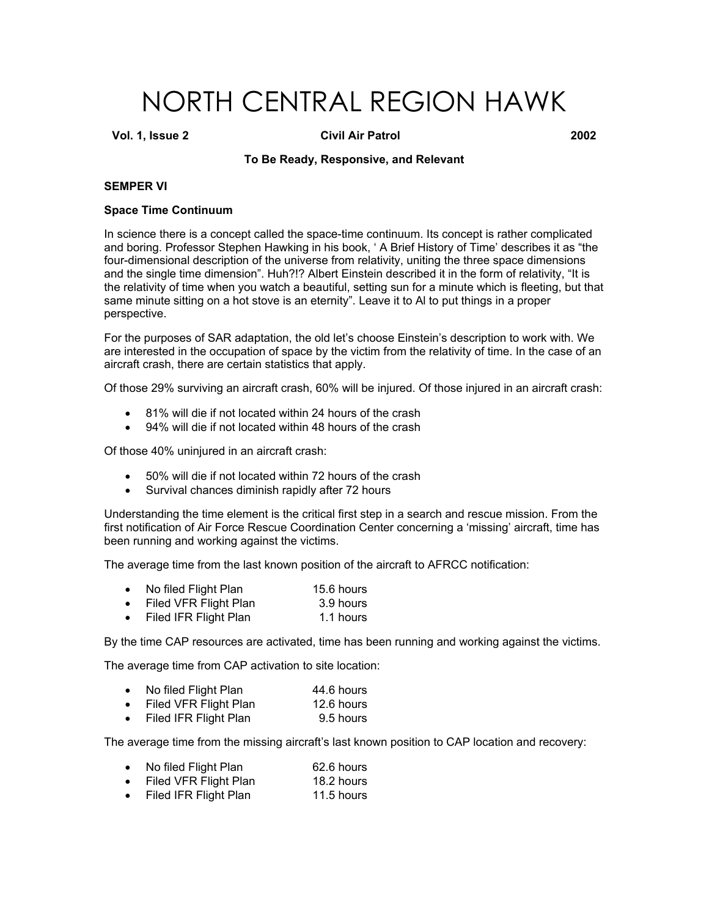# NORTH CENTRAL REGION HAWK

**Vol. 1, Issue 2 Civil Air Patrol 2002** 

# **To Be Ready, Responsive, and Relevant**

# **SEMPER VI**

## **Space Time Continuum**

In science there is a concept called the space-time continuum. Its concept is rather complicated and boring. Professor Stephen Hawking in his book, ' A Brief History of Time' describes it as "the four-dimensional description of the universe from relativity, uniting the three space dimensions and the single time dimension". Huh?!? Albert Einstein described it in the form of relativity, "It is the relativity of time when you watch a beautiful, setting sun for a minute which is fleeting, but that same minute sitting on a hot stove is an eternity". Leave it to Al to put things in a proper perspective.

For the purposes of SAR adaptation, the old let's choose Einstein's description to work with. We are interested in the occupation of space by the victim from the relativity of time. In the case of an aircraft crash, there are certain statistics that apply.

Of those 29% surviving an aircraft crash, 60% will be injured. Of those injured in an aircraft crash:

- 81% will die if not located within 24 hours of the crash
- 94% will die if not located within 48 hours of the crash

Of those 40% uninjured in an aircraft crash:

- 50% will die if not located within 72 hours of the crash
- Survival chances diminish rapidly after 72 hours

Understanding the time element is the critical first step in a search and rescue mission. From the first notification of Air Force Rescue Coordination Center concerning a 'missing' aircraft, time has been running and working against the victims.

The average time from the last known position of the aircraft to AFRCC notification:

- No filed Flight Plan 15.6 hours
- Filed VFR Flight Plan 3.9 hours
- Filed IFR Flight Plan 1.1 hours

By the time CAP resources are activated, time has been running and working against the victims.

The average time from CAP activation to site location:

- No filed Flight Plan 44.6 hours
- Filed VFR Flight Plan 12.6 hours
- Filed IFR Flight Plan 9.5 hours

The average time from the missing aircraft's last known position to CAP location and recovery:

- No filed Flight Plan 62.6 hours
- Filed VFR Flight Plan 18.2 hours
- Filed IFR Flight Plan 11.5 hours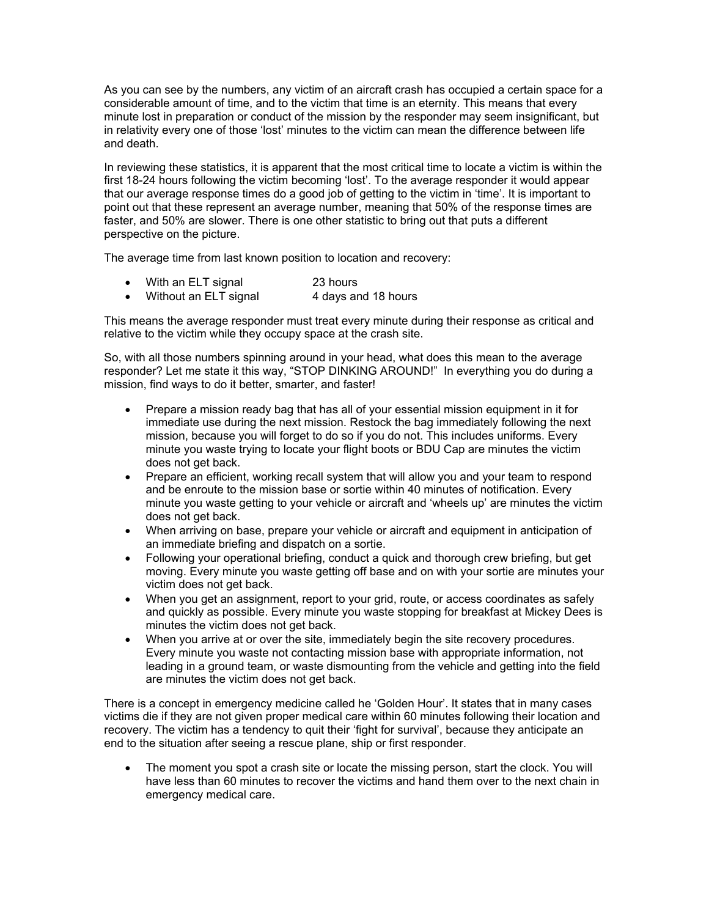As you can see by the numbers, any victim of an aircraft crash has occupied a certain space for a considerable amount of time, and to the victim that time is an eternity. This means that every minute lost in preparation or conduct of the mission by the responder may seem insignificant, but in relativity every one of those 'lost' minutes to the victim can mean the difference between life and death.

In reviewing these statistics, it is apparent that the most critical time to locate a victim is within the first 18-24 hours following the victim becoming 'lost'. To the average responder it would appear that our average response times do a good job of getting to the victim in 'time'. It is important to point out that these represent an average number, meaning that 50% of the response times are faster, and 50% are slower. There is one other statistic to bring out that puts a different perspective on the picture.

The average time from last known position to location and recovery:

- With an ELT signal 23 hours
- Without an ELT signal 4 days and 18 hours

This means the average responder must treat every minute during their response as critical and relative to the victim while they occupy space at the crash site.

So, with all those numbers spinning around in your head, what does this mean to the average responder? Let me state it this way, "STOP DINKING AROUND!" In everything you do during a mission, find ways to do it better, smarter, and faster!

- Prepare a mission ready bag that has all of your essential mission equipment in it for immediate use during the next mission. Restock the bag immediately following the next mission, because you will forget to do so if you do not. This includes uniforms. Every minute you waste trying to locate your flight boots or BDU Cap are minutes the victim does not get back.
- Prepare an efficient, working recall system that will allow you and your team to respond and be enroute to the mission base or sortie within 40 minutes of notification. Every minute you waste getting to your vehicle or aircraft and 'wheels up' are minutes the victim does not get back.
- When arriving on base, prepare your vehicle or aircraft and equipment in anticipation of an immediate briefing and dispatch on a sortie.
- Following your operational briefing, conduct a quick and thorough crew briefing, but get moving. Every minute you waste getting off base and on with your sortie are minutes your victim does not get back.
- When you get an assignment, report to your grid, route, or access coordinates as safely and quickly as possible. Every minute you waste stopping for breakfast at Mickey Dees is minutes the victim does not get back.
- When you arrive at or over the site, immediately begin the site recovery procedures. Every minute you waste not contacting mission base with appropriate information, not leading in a ground team, or waste dismounting from the vehicle and getting into the field are minutes the victim does not get back.

There is a concept in emergency medicine called he 'Golden Hour'. It states that in many cases victims die if they are not given proper medical care within 60 minutes following their location and recovery. The victim has a tendency to quit their 'fight for survival', because they anticipate an end to the situation after seeing a rescue plane, ship or first responder.

The moment you spot a crash site or locate the missing person, start the clock. You will have less than 60 minutes to recover the victims and hand them over to the next chain in emergency medical care.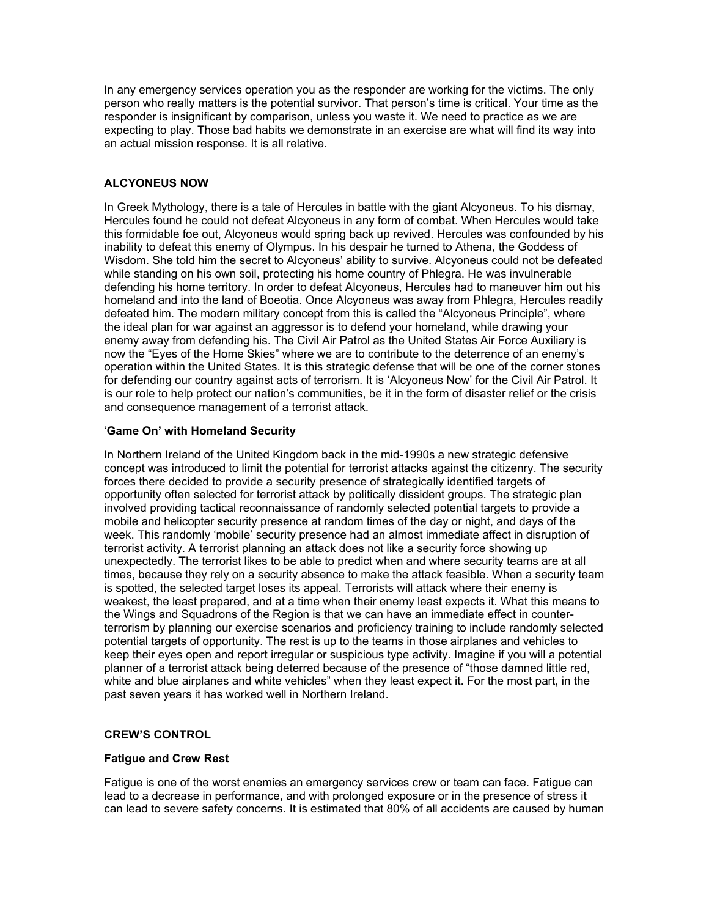In any emergency services operation you as the responder are working for the victims. The only person who really matters is the potential survivor. That person's time is critical. Your time as the responder is insignificant by comparison, unless you waste it. We need to practice as we are expecting to play. Those bad habits we demonstrate in an exercise are what will find its way into an actual mission response. It is all relative.

# **ALCYONEUS NOW**

In Greek Mythology, there is a tale of Hercules in battle with the giant Alcyoneus. To his dismay, Hercules found he could not defeat Alcyoneus in any form of combat. When Hercules would take this formidable foe out, Alcyoneus would spring back up revived. Hercules was confounded by his inability to defeat this enemy of Olympus. In his despair he turned to Athena, the Goddess of Wisdom. She told him the secret to Alcyoneus' ability to survive. Alcyoneus could not be defeated while standing on his own soil, protecting his home country of Phlegra. He was invulnerable defending his home territory. In order to defeat Alcyoneus, Hercules had to maneuver him out his homeland and into the land of Boeotia. Once Alcyoneus was away from Phlegra, Hercules readily defeated him. The modern military concept from this is called the "Alcyoneus Principle", where the ideal plan for war against an aggressor is to defend your homeland, while drawing your enemy away from defending his. The Civil Air Patrol as the United States Air Force Auxiliary is now the "Eyes of the Home Skies" where we are to contribute to the deterrence of an enemy's operation within the United States. It is this strategic defense that will be one of the corner stones for defending our country against acts of terrorism. It is 'Alcyoneus Now' for the Civil Air Patrol. It is our role to help protect our nation's communities, be it in the form of disaster relief or the crisis and consequence management of a terrorist attack.

# '**Game On' with Homeland Security**

In Northern Ireland of the United Kingdom back in the mid-1990s a new strategic defensive concept was introduced to limit the potential for terrorist attacks against the citizenry. The security forces there decided to provide a security presence of strategically identified targets of opportunity often selected for terrorist attack by politically dissident groups. The strategic plan involved providing tactical reconnaissance of randomly selected potential targets to provide a mobile and helicopter security presence at random times of the day or night, and days of the week. This randomly 'mobile' security presence had an almost immediate affect in disruption of terrorist activity. A terrorist planning an attack does not like a security force showing up unexpectedly. The terrorist likes to be able to predict when and where security teams are at all times, because they rely on a security absence to make the attack feasible. When a security team is spotted, the selected target loses its appeal. Terrorists will attack where their enemy is weakest, the least prepared, and at a time when their enemy least expects it. What this means to the Wings and Squadrons of the Region is that we can have an immediate effect in counterterrorism by planning our exercise scenarios and proficiency training to include randomly selected potential targets of opportunity. The rest is up to the teams in those airplanes and vehicles to keep their eyes open and report irregular or suspicious type activity. Imagine if you will a potential planner of a terrorist attack being deterred because of the presence of "those damned little red, white and blue airplanes and white vehicles" when they least expect it. For the most part, in the past seven years it has worked well in Northern Ireland.

## **CREW'S CONTROL**

## **Fatigue and Crew Rest**

Fatigue is one of the worst enemies an emergency services crew or team can face. Fatigue can lead to a decrease in performance, and with prolonged exposure or in the presence of stress it can lead to severe safety concerns. It is estimated that 80% of all accidents are caused by human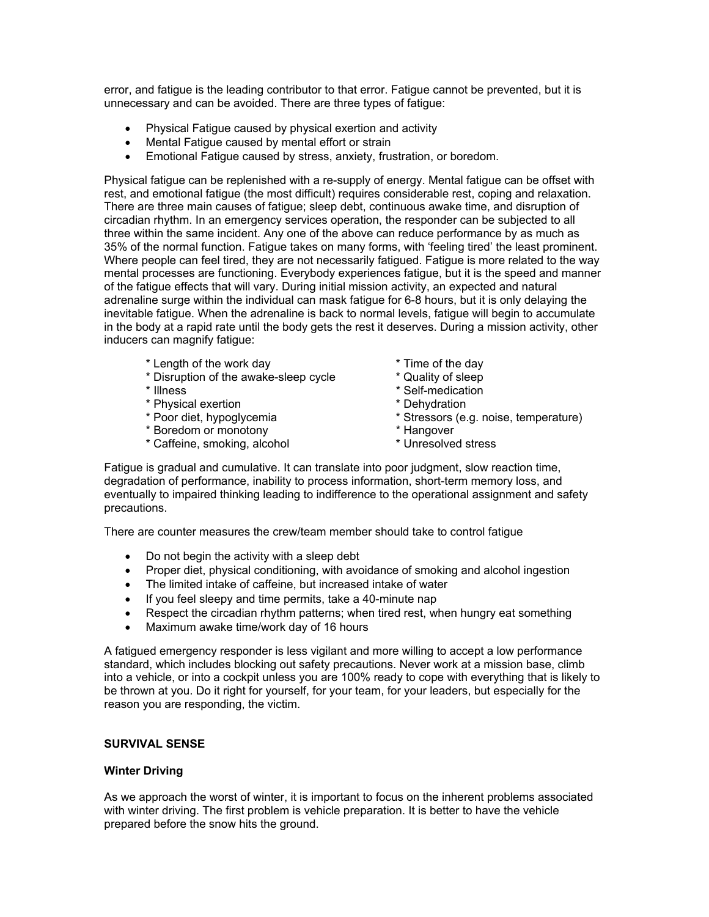error, and fatigue is the leading contributor to that error. Fatigue cannot be prevented, but it is unnecessary and can be avoided. There are three types of fatigue:

- Physical Fatigue caused by physical exertion and activity
- Mental Fatigue caused by mental effort or strain
- Emotional Fatigue caused by stress, anxiety, frustration, or boredom.

Physical fatigue can be replenished with a re-supply of energy. Mental fatigue can be offset with rest, and emotional fatigue (the most difficult) requires considerable rest, coping and relaxation. There are three main causes of fatigue; sleep debt, continuous awake time, and disruption of circadian rhythm. In an emergency services operation, the responder can be subjected to all three within the same incident. Any one of the above can reduce performance by as much as 35% of the normal function. Fatigue takes on many forms, with 'feeling tired' the least prominent. Where people can feel tired, they are not necessarily fatigued. Fatigue is more related to the way mental processes are functioning. Everybody experiences fatigue, but it is the speed and manner of the fatigue effects that will vary. During initial mission activity, an expected and natural adrenaline surge within the individual can mask fatigue for 6-8 hours, but it is only delaying the inevitable fatigue. When the adrenaline is back to normal levels, fatigue will begin to accumulate in the body at a rapid rate until the body gets the rest it deserves. During a mission activity, other inducers can magnify fatigue:

- 
- \* Length of the work day  $*$  Time of the day  $*$  Time of the day  $*$  Ouality of sleep \* Disruption of the awake-sleep cycle<br>\* Illness
- 
- \* Physical exertion
- 
- \* Boredom or monotony \* Hangover
- \* Caffeine, smoking, alcohol \* Unresolved stress
- 
- 
- \* Self-medication<br>\* Dehydration
- 
- \* Poor diet, hypoglycemia \* Stressors (e.g. noise, temperature)
	-
	-

Fatigue is gradual and cumulative. It can translate into poor judgment, slow reaction time, degradation of performance, inability to process information, short-term memory loss, and eventually to impaired thinking leading to indifference to the operational assignment and safety precautions.

There are counter measures the crew/team member should take to control fatigue

- Do not begin the activity with a sleep debt
- Proper diet, physical conditioning, with avoidance of smoking and alcohol ingestion
- The limited intake of caffeine, but increased intake of water
- If you feel sleepy and time permits, take a 40-minute nap
- Respect the circadian rhythm patterns; when tired rest, when hungry eat something
- Maximum awake time/work day of 16 hours

A fatigued emergency responder is less vigilant and more willing to accept a low performance standard, which includes blocking out safety precautions. Never work at a mission base, climb into a vehicle, or into a cockpit unless you are 100% ready to cope with everything that is likely to be thrown at you. Do it right for yourself, for your team, for your leaders, but especially for the reason you are responding, the victim.

# **SURVIVAL SENSE**

## **Winter Driving**

As we approach the worst of winter, it is important to focus on the inherent problems associated with winter driving. The first problem is vehicle preparation. It is better to have the vehicle prepared before the snow hits the ground.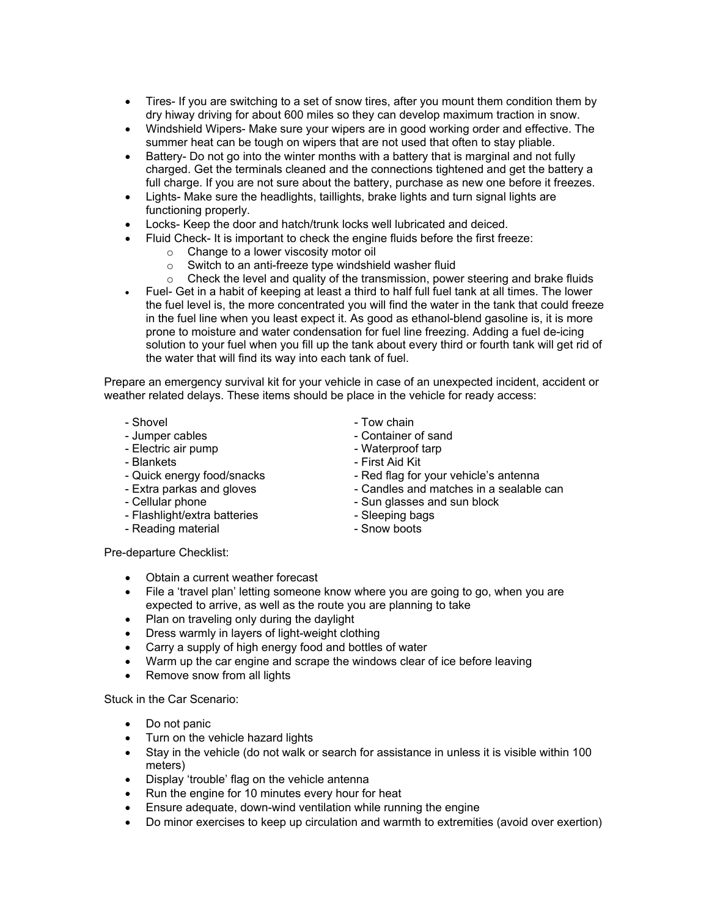- Tires- If you are switching to a set of snow tires, after you mount them condition them by dry hiway driving for about 600 miles so they can develop maximum traction in snow.
- Windshield Wipers- Make sure your wipers are in good working order and effective. The summer heat can be tough on wipers that are not used that often to stay pliable.
- Battery- Do not go into the winter months with a battery that is marginal and not fully charged. Get the terminals cleaned and the connections tightened and get the battery a full charge. If you are not sure about the battery, purchase as new one before it freezes.
- Lights- Make sure the headlights, taillights, brake lights and turn signal lights are functioning properly.
- Locks- Keep the door and hatch/trunk locks well lubricated and deiced.
- Fluid Check- It is important to check the engine fluids before the first freeze:
	- o Change to a lower viscosity motor oil
	- o Switch to an anti-freeze type windshield washer fluid
	- $\circ$  Check the level and quality of the transmission, power steering and brake fluids
- Fuel- Get in a habit of keeping at least a third to half full fuel tank at all times. The lower the fuel level is, the more concentrated you will find the water in the tank that could freeze in the fuel line when you least expect it. As good as ethanol-blend gasoline is, it is more prone to moisture and water condensation for fuel line freezing. Adding a fuel de-icing solution to your fuel when you fill up the tank about every third or fourth tank will get rid of the water that will find its way into each tank of fuel.

Prepare an emergency survival kit for your vehicle in case of an unexpected incident, accident or weather related delays. These items should be place in the vehicle for ready access:

- 
- 
- 
- 
- 
- 
- 
- Flashlight/extra batteries Sleeping bags
- Reading material **Figure 2018** Snow boots
- Shovel **Contract Contract Contract Contract Contract Contract Contract Contract Contract Contract Contract Contract Contract Contract Contract Contract Contract Contract Contract Contract Contract Contract Contract Contr**
- Jumper cables  $\sim$  Container of sand
- Electric air pump Waterproof tarp
- Blankets  **First Aid Kit**
- Quick energy food/snacks Red flag for your vehicle's antenna
- Extra parkas and gloves Candles and matches in a sealable can
- Cellular phone  $\overline{\phantom{a}}$  Sun glasses and sun block
	-
	-

Pre-departure Checklist:

- Obtain a current weather forecast
- File a 'travel plan' letting someone know where you are going to go, when you are expected to arrive, as well as the route you are planning to take
- Plan on traveling only during the daylight
- Dress warmly in layers of light-weight clothing
- Carry a supply of high energy food and bottles of water
- Warm up the car engine and scrape the windows clear of ice before leaving
- Remove snow from all lights

Stuck in the Car Scenario:

- Do not panic
- Turn on the vehicle hazard lights
- Stay in the vehicle (do not walk or search for assistance in unless it is visible within 100 meters)
- Display 'trouble' flag on the vehicle antenna
- Run the engine for 10 minutes every hour for heat
- Ensure adequate, down-wind ventilation while running the engine
- Do minor exercises to keep up circulation and warmth to extremities (avoid over exertion)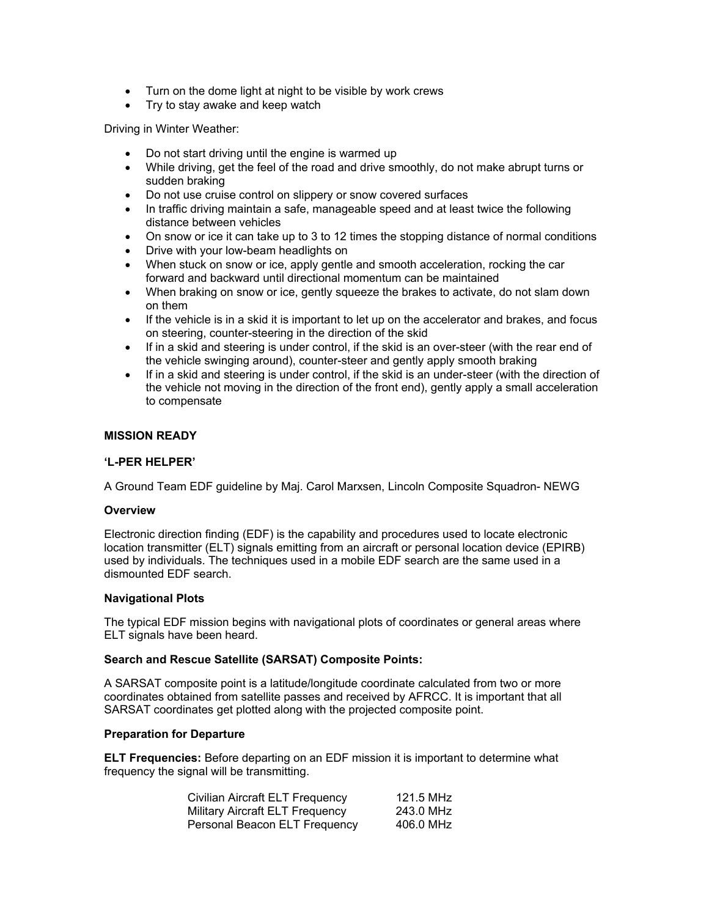- Turn on the dome light at night to be visible by work crews
- Try to stay awake and keep watch

Driving in Winter Weather:

- Do not start driving until the engine is warmed up
- While driving, get the feel of the road and drive smoothly, do not make abrupt turns or sudden braking
- Do not use cruise control on slippery or snow covered surfaces
- In traffic driving maintain a safe, manageable speed and at least twice the following distance between vehicles
- On snow or ice it can take up to 3 to 12 times the stopping distance of normal conditions
- Drive with your low-beam headlights on
- When stuck on snow or ice, apply gentle and smooth acceleration, rocking the car forward and backward until directional momentum can be maintained
- When braking on snow or ice, gently squeeze the brakes to activate, do not slam down on them
- If the vehicle is in a skid it is important to let up on the accelerator and brakes, and focus on steering, counter-steering in the direction of the skid
- If in a skid and steering is under control, if the skid is an over-steer (with the rear end of the vehicle swinging around), counter-steer and gently apply smooth braking
- If in a skid and steering is under control, if the skid is an under-steer (with the direction of the vehicle not moving in the direction of the front end), gently apply a small acceleration to compensate

# **MISSION READY**

# **'L-PER HELPER'**

A Ground Team EDF guideline by Maj. Carol Marxsen, Lincoln Composite Squadron- NEWG

## **Overview**

Electronic direction finding (EDF) is the capability and procedures used to locate electronic location transmitter (ELT) signals emitting from an aircraft or personal location device (EPIRB) used by individuals. The techniques used in a mobile EDF search are the same used in a dismounted EDF search.

## **Navigational Plots**

The typical EDF mission begins with navigational plots of coordinates or general areas where ELT signals have been heard.

## **Search and Rescue Satellite (SARSAT) Composite Points:**

A SARSAT composite point is a latitude/longitude coordinate calculated from two or more coordinates obtained from satellite passes and received by AFRCC. It is important that all SARSAT coordinates get plotted along with the projected composite point.

## **Preparation for Departure**

**ELT Frequencies:** Before departing on an EDF mission it is important to determine what frequency the signal will be transmitting.

| Civilian Aircraft ELT Frequency        | 121.5 MHz |
|----------------------------------------|-----------|
| <b>Military Aircraft ELT Frequency</b> | 243.0 MHz |
| Personal Beacon ELT Frequency          | 406.0 MHz |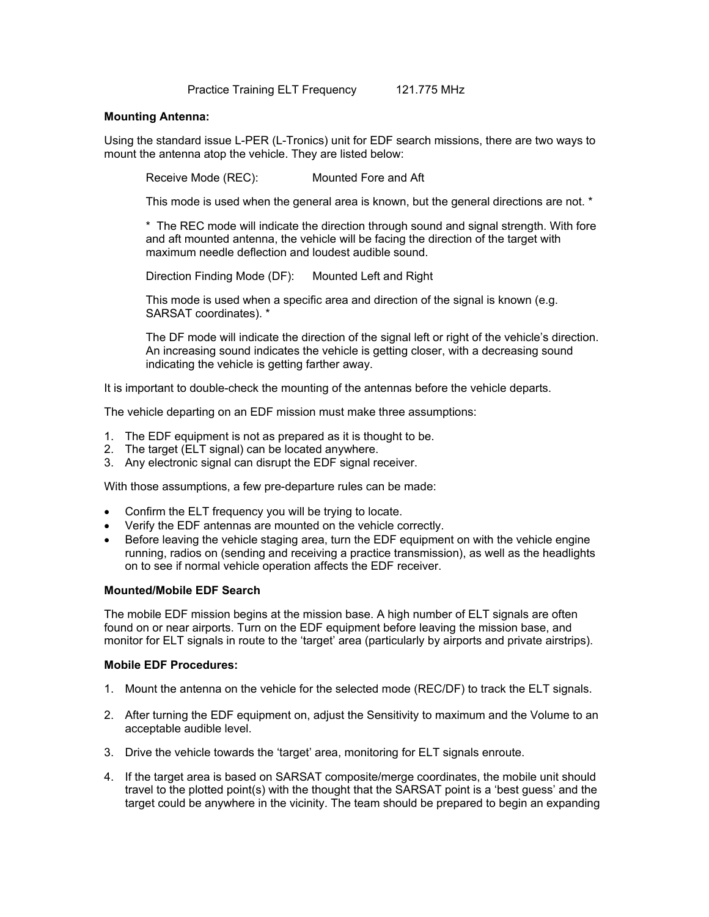Practice Training ELT Frequency 121.775 MHz

## **Mounting Antenna:**

Using the standard issue L-PER (L-Tronics) unit for EDF search missions, there are two ways to mount the antenna atop the vehicle. They are listed below:

Receive Mode (REC): Mounted Fore and Aft

This mode is used when the general area is known, but the general directions are not. \*

\* The REC mode will indicate the direction through sound and signal strength. With fore and aft mounted antenna, the vehicle will be facing the direction of the target with maximum needle deflection and loudest audible sound.

Direction Finding Mode (DF): Mounted Left and Right

This mode is used when a specific area and direction of the signal is known (e.g. SARSAT coordinates). \*

The DF mode will indicate the direction of the signal left or right of the vehicle's direction. An increasing sound indicates the vehicle is getting closer, with a decreasing sound indicating the vehicle is getting farther away.

It is important to double-check the mounting of the antennas before the vehicle departs.

The vehicle departing on an EDF mission must make three assumptions:

- 1. The EDF equipment is not as prepared as it is thought to be.
- 2. The target (ELT signal) can be located anywhere.
- 3. Any electronic signal can disrupt the EDF signal receiver.

With those assumptions, a few pre-departure rules can be made:

- Confirm the ELT frequency you will be trying to locate.
- Verify the EDF antennas are mounted on the vehicle correctly.
- Before leaving the vehicle staging area, turn the EDF equipment on with the vehicle engine running, radios on (sending and receiving a practice transmission), as well as the headlights on to see if normal vehicle operation affects the EDF receiver.

#### **Mounted/Mobile EDF Search**

The mobile EDF mission begins at the mission base. A high number of ELT signals are often found on or near airports. Turn on the EDF equipment before leaving the mission base, and monitor for ELT signals in route to the 'target' area (particularly by airports and private airstrips).

#### **Mobile EDF Procedures:**

- 1. Mount the antenna on the vehicle for the selected mode (REC/DF) to track the ELT signals.
- 2. After turning the EDF equipment on, adjust the Sensitivity to maximum and the Volume to an acceptable audible level.
- 3. Drive the vehicle towards the 'target' area, monitoring for ELT signals enroute.
- 4. If the target area is based on SARSAT composite/merge coordinates, the mobile unit should travel to the plotted point(s) with the thought that the SARSAT point is a 'best guess' and the target could be anywhere in the vicinity. The team should be prepared to begin an expanding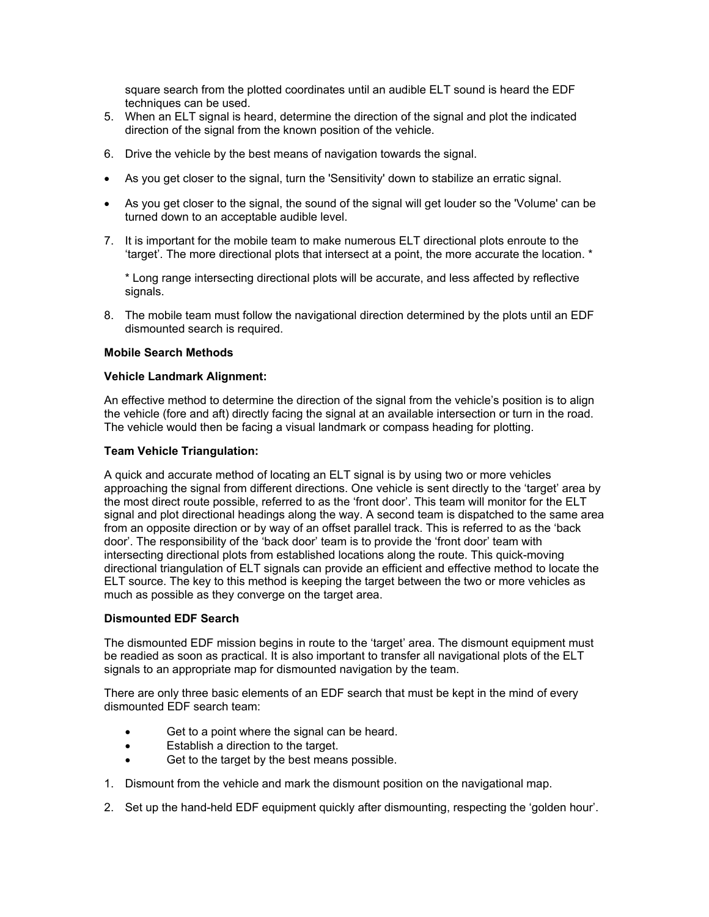square search from the plotted coordinates until an audible ELT sound is heard the EDF techniques can be used.

- 5. When an ELT signal is heard, determine the direction of the signal and plot the indicated direction of the signal from the known position of the vehicle.
- 6. Drive the vehicle by the best means of navigation towards the signal.
- As you get closer to the signal, turn the 'Sensitivity' down to stabilize an erratic signal.
- As you get closer to the signal, the sound of the signal will get louder so the 'Volume' can be turned down to an acceptable audible level.
- 7. It is important for the mobile team to make numerous ELT directional plots enroute to the 'target'. The more directional plots that intersect at a point, the more accurate the location. \*

\* Long range intersecting directional plots will be accurate, and less affected by reflective signals.

8. The mobile team must follow the navigational direction determined by the plots until an EDF dismounted search is required.

## **Mobile Search Methods**

## **Vehicle Landmark Alignment:**

An effective method to determine the direction of the signal from the vehicle's position is to align the vehicle (fore and aft) directly facing the signal at an available intersection or turn in the road. The vehicle would then be facing a visual landmark or compass heading for plotting.

## **Team Vehicle Triangulation:**

A quick and accurate method of locating an ELT signal is by using two or more vehicles approaching the signal from different directions. One vehicle is sent directly to the 'target' area by the most direct route possible, referred to as the 'front door'. This team will monitor for the ELT signal and plot directional headings along the way. A second team is dispatched to the same area from an opposite direction or by way of an offset parallel track. This is referred to as the 'back door'. The responsibility of the 'back door' team is to provide the 'front door' team with intersecting directional plots from established locations along the route. This quick-moving directional triangulation of ELT signals can provide an efficient and effective method to locate the ELT source. The key to this method is keeping the target between the two or more vehicles as much as possible as they converge on the target area.

# **Dismounted EDF Search**

The dismounted EDF mission begins in route to the 'target' area. The dismount equipment must be readied as soon as practical. It is also important to transfer all navigational plots of the ELT signals to an appropriate map for dismounted navigation by the team.

There are only three basic elements of an EDF search that must be kept in the mind of every dismounted EDF search team:

- Get to a point where the signal can be heard.
- Establish a direction to the target.
- Get to the target by the best means possible.
- 1. Dismount from the vehicle and mark the dismount position on the navigational map.
- 2. Set up the hand-held EDF equipment quickly after dismounting, respecting the 'golden hour'.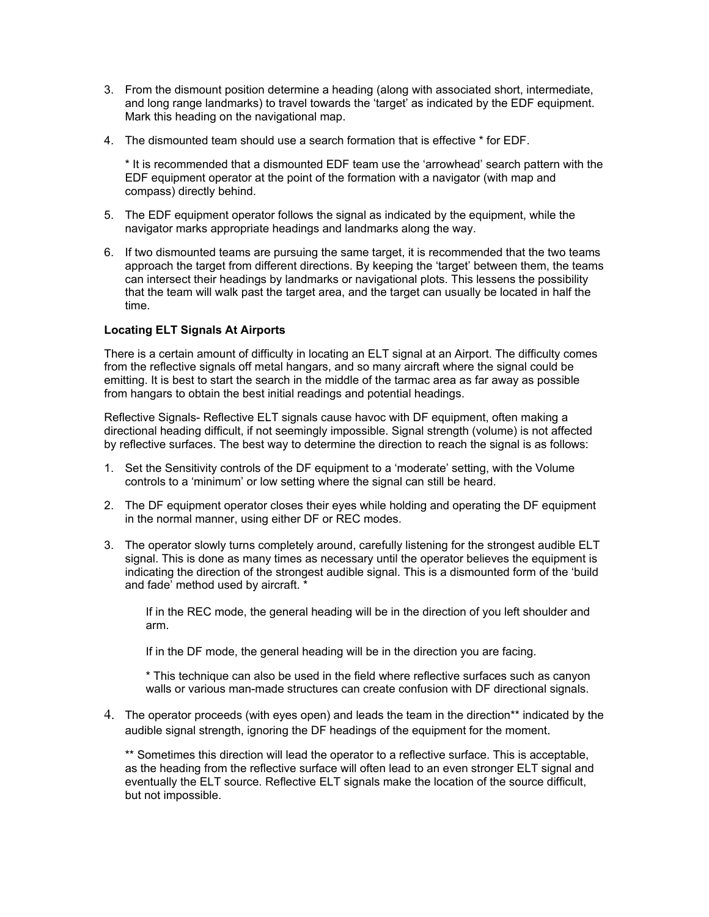- 3. From the dismount position determine a heading (along with associated short, intermediate, and long range landmarks) to travel towards the 'target' as indicated by the EDF equipment. Mark this heading on the navigational map.
- 4. The dismounted team should use a search formation that is effective \* for EDF.

\* It is recommended that a dismounted EDF team use the 'arrowhead' search pattern with the EDF equipment operator at the point of the formation with a navigator (with map and compass) directly behind.

- 5. The EDF equipment operator follows the signal as indicated by the equipment, while the navigator marks appropriate headings and landmarks along the way.
- 6. If two dismounted teams are pursuing the same target, it is recommended that the two teams approach the target from different directions. By keeping the 'target' between them, the teams can intersect their headings by landmarks or navigational plots. This lessens the possibility that the team will walk past the target area, and the target can usually be located in half the time.

# **Locating ELT Signals At Airports**

There is a certain amount of difficulty in locating an ELT signal at an Airport. The difficulty comes from the reflective signals off metal hangars, and so many aircraft where the signal could be emitting. It is best to start the search in the middle of the tarmac area as far away as possible from hangars to obtain the best initial readings and potential headings.

Reflective Signals- Reflective ELT signals cause havoc with DF equipment, often making a directional heading difficult, if not seemingly impossible. Signal strength (volume) is not affected by reflective surfaces. The best way to determine the direction to reach the signal is as follows:

- 1. Set the Sensitivity controls of the DF equipment to a 'moderate' setting, with the Volume controls to a 'minimum' or low setting where the signal can still be heard.
- 2. The DF equipment operator closes their eyes while holding and operating the DF equipment in the normal manner, using either DF or REC modes.
- 3. The operator slowly turns completely around, carefully listening for the strongest audible ELT signal. This is done as many times as necessary until the operator believes the equipment is indicating the direction of the strongest audible signal. This is a dismounted form of the 'build and fade' method used by aircraft. \*

If in the REC mode, the general heading will be in the direction of you left shoulder and arm.

If in the DF mode, the general heading will be in the direction you are facing.

\* This technique can also be used in the field where reflective surfaces such as canyon walls or various man-made structures can create confusion with DF directional signals.

4. The operator proceeds (with eyes open) and leads the team in the direction\*\* indicated by the audible signal strength, ignoring the DF headings of the equipment for the moment.

\*\* Sometimes this direction will lead the operator to a reflective surface. This is acceptable, as the heading from the reflective surface will often lead to an even stronger ELT signal and eventually the ELT source. Reflective ELT signals make the location of the source difficult, but not impossible.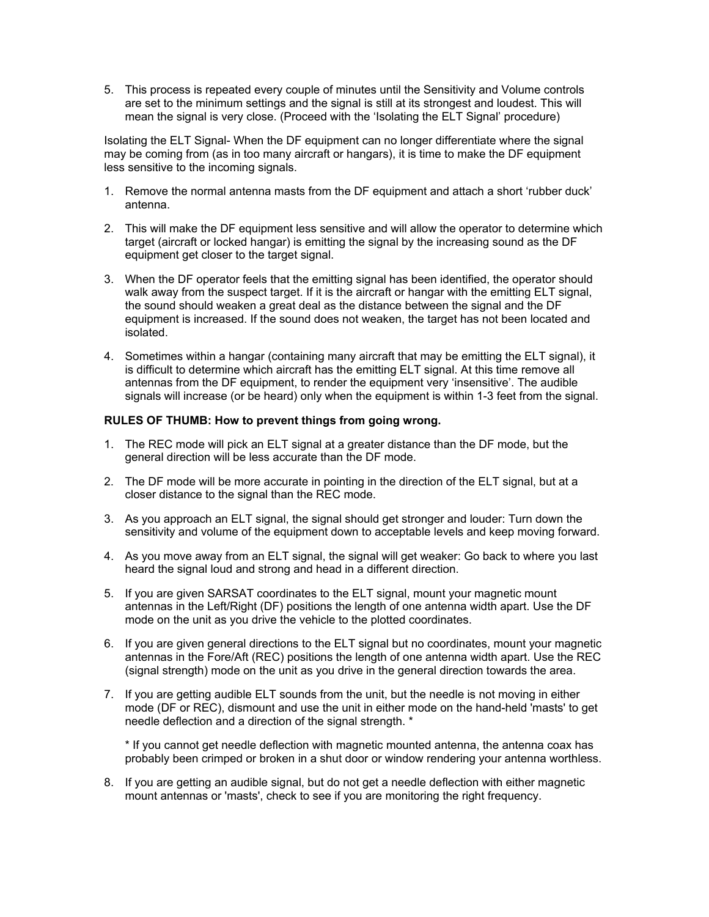5. This process is repeated every couple of minutes until the Sensitivity and Volume controls are set to the minimum settings and the signal is still at its strongest and loudest. This will mean the signal is very close. (Proceed with the 'Isolating the ELT Signal' procedure)

Isolating the ELT Signal- When the DF equipment can no longer differentiate where the signal may be coming from (as in too many aircraft or hangars), it is time to make the DF equipment less sensitive to the incoming signals.

- 1. Remove the normal antenna masts from the DF equipment and attach a short 'rubber duck' antenna.
- 2. This will make the DF equipment less sensitive and will allow the operator to determine which target (aircraft or locked hangar) is emitting the signal by the increasing sound as the DF equipment get closer to the target signal.
- 3. When the DF operator feels that the emitting signal has been identified, the operator should walk away from the suspect target. If it is the aircraft or hangar with the emitting ELT signal, the sound should weaken a great deal as the distance between the signal and the DF equipment is increased. If the sound does not weaken, the target has not been located and isolated.
- 4. Sometimes within a hangar (containing many aircraft that may be emitting the ELT signal), it is difficult to determine which aircraft has the emitting ELT signal. At this time remove all antennas from the DF equipment, to render the equipment very 'insensitive'. The audible signals will increase (or be heard) only when the equipment is within 1-3 feet from the signal.

# **RULES OF THUMB: How to prevent things from going wrong.**

- 1. The REC mode will pick an ELT signal at a greater distance than the DF mode, but the general direction will be less accurate than the DF mode.
- 2. The DF mode will be more accurate in pointing in the direction of the ELT signal, but at a closer distance to the signal than the REC mode.
- 3. As you approach an ELT signal, the signal should get stronger and louder: Turn down the sensitivity and volume of the equipment down to acceptable levels and keep moving forward.
- 4. As you move away from an ELT signal, the signal will get weaker: Go back to where you last heard the signal loud and strong and head in a different direction.
- 5. If you are given SARSAT coordinates to the ELT signal, mount your magnetic mount antennas in the Left/Right (DF) positions the length of one antenna width apart. Use the DF mode on the unit as you drive the vehicle to the plotted coordinates.
- 6. If you are given general directions to the ELT signal but no coordinates, mount your magnetic antennas in the Fore/Aft (REC) positions the length of one antenna width apart. Use the REC (signal strength) mode on the unit as you drive in the general direction towards the area.
- 7. If you are getting audible ELT sounds from the unit, but the needle is not moving in either mode (DF or REC), dismount and use the unit in either mode on the hand-held 'masts' to get needle deflection and a direction of the signal strength. \*

\* If you cannot get needle deflection with magnetic mounted antenna, the antenna coax has probably been crimped or broken in a shut door or window rendering your antenna worthless.

8. If you are getting an audible signal, but do not get a needle deflection with either magnetic mount antennas or 'masts', check to see if you are monitoring the right frequency.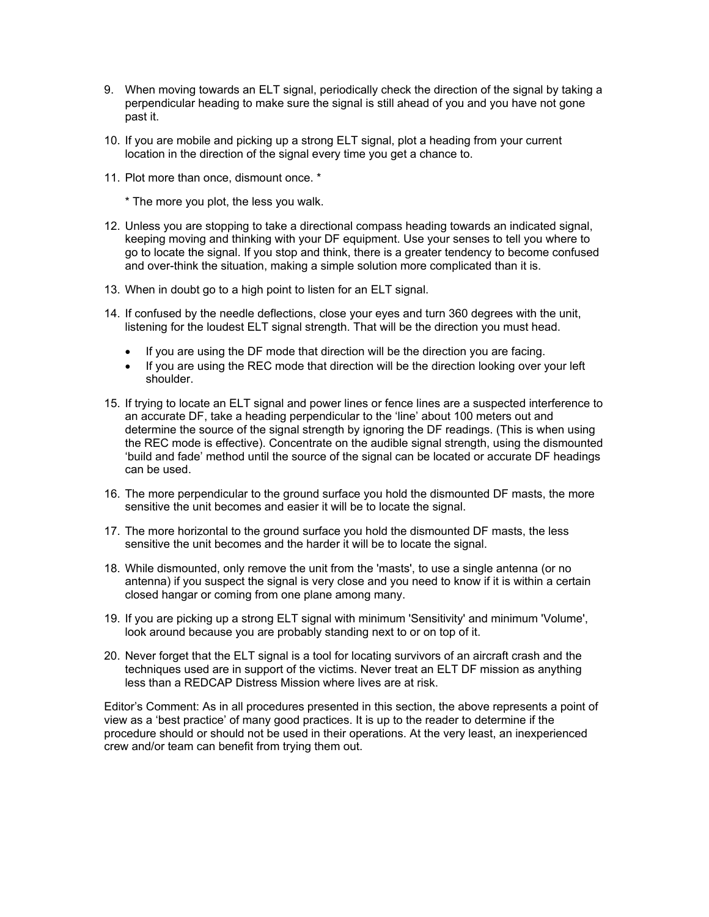- 9. When moving towards an ELT signal, periodically check the direction of the signal by taking a perpendicular heading to make sure the signal is still ahead of you and you have not gone past it.
- 10. If you are mobile and picking up a strong ELT signal, plot a heading from your current location in the direction of the signal every time you get a chance to.
- 11. Plot more than once, dismount once. \*

\* The more you plot, the less you walk.

- 12. Unless you are stopping to take a directional compass heading towards an indicated signal, keeping moving and thinking with your DF equipment. Use your senses to tell you where to go to locate the signal. If you stop and think, there is a greater tendency to become confused and over-think the situation, making a simple solution more complicated than it is.
- 13. When in doubt go to a high point to listen for an ELT signal.
- 14. If confused by the needle deflections, close your eyes and turn 360 degrees with the unit, listening for the loudest ELT signal strength. That will be the direction you must head.
	- If you are using the DF mode that direction will be the direction you are facing.
	- If you are using the REC mode that direction will be the direction looking over your left shoulder.
- 15. If trying to locate an ELT signal and power lines or fence lines are a suspected interference to an accurate DF, take a heading perpendicular to the 'line' about 100 meters out and determine the source of the signal strength by ignoring the DF readings. (This is when using the REC mode is effective). Concentrate on the audible signal strength, using the dismounted 'build and fade' method until the source of the signal can be located or accurate DF headings can be used.
- 16. The more perpendicular to the ground surface you hold the dismounted DF masts, the more sensitive the unit becomes and easier it will be to locate the signal.
- 17. The more horizontal to the ground surface you hold the dismounted DF masts, the less sensitive the unit becomes and the harder it will be to locate the signal.
- 18. While dismounted, only remove the unit from the 'masts', to use a single antenna (or no antenna) if you suspect the signal is very close and you need to know if it is within a certain closed hangar or coming from one plane among many.
- 19. If you are picking up a strong ELT signal with minimum 'Sensitivity' and minimum 'Volume', look around because you are probably standing next to or on top of it.
- 20. Never forget that the ELT signal is a tool for locating survivors of an aircraft crash and the techniques used are in support of the victims. Never treat an ELT DF mission as anything less than a REDCAP Distress Mission where lives are at risk.

Editor's Comment: As in all procedures presented in this section, the above represents a point of view as a 'best practice' of many good practices. It is up to the reader to determine if the procedure should or should not be used in their operations. At the very least, an inexperienced crew and/or team can benefit from trying them out.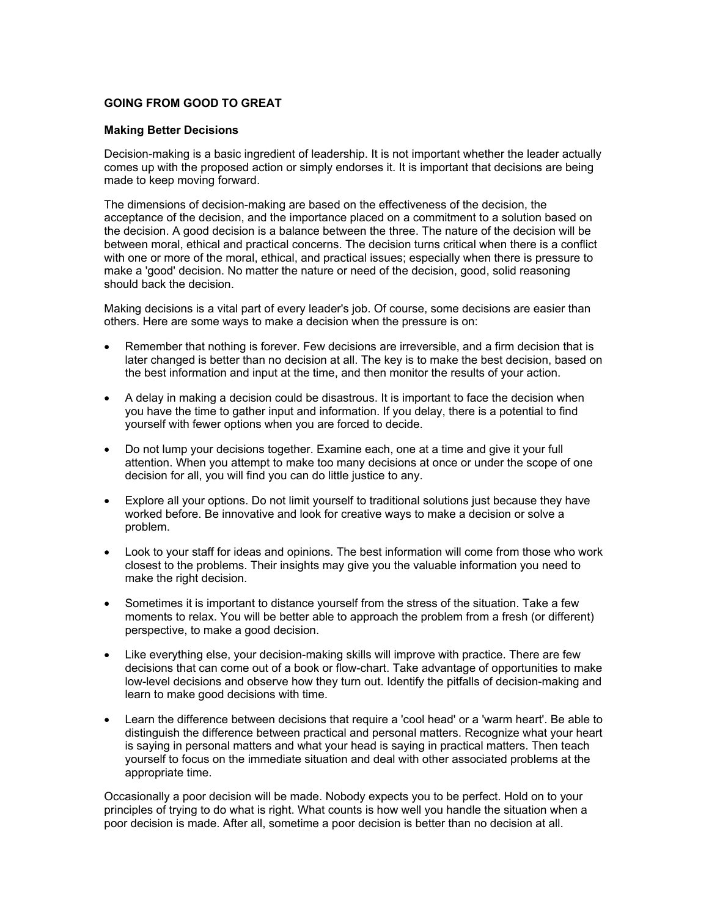# **GOING FROM GOOD TO GREAT**

## **Making Better Decisions**

Decision-making is a basic ingredient of leadership. It is not important whether the leader actually comes up with the proposed action or simply endorses it. It is important that decisions are being made to keep moving forward.

The dimensions of decision-making are based on the effectiveness of the decision, the acceptance of the decision, and the importance placed on a commitment to a solution based on the decision. A good decision is a balance between the three. The nature of the decision will be between moral, ethical and practical concerns. The decision turns critical when there is a conflict with one or more of the moral, ethical, and practical issues; especially when there is pressure to make a 'good' decision. No matter the nature or need of the decision, good, solid reasoning should back the decision.

Making decisions is a vital part of every leader's job. Of course, some decisions are easier than others. Here are some ways to make a decision when the pressure is on:

- Remember that nothing is forever. Few decisions are irreversible, and a firm decision that is later changed is better than no decision at all. The key is to make the best decision, based on the best information and input at the time, and then monitor the results of your action.
- A delay in making a decision could be disastrous. It is important to face the decision when you have the time to gather input and information. If you delay, there is a potential to find yourself with fewer options when you are forced to decide.
- Do not lump your decisions together. Examine each, one at a time and give it your full attention. When you attempt to make too many decisions at once or under the scope of one decision for all, you will find you can do little justice to any.
- Explore all your options. Do not limit yourself to traditional solutions just because they have worked before. Be innovative and look for creative ways to make a decision or solve a problem.
- Look to your staff for ideas and opinions. The best information will come from those who work closest to the problems. Their insights may give you the valuable information you need to make the right decision.
- Sometimes it is important to distance yourself from the stress of the situation. Take a few moments to relax. You will be better able to approach the problem from a fresh (or different) perspective, to make a good decision.
- Like everything else, your decision-making skills will improve with practice. There are few decisions that can come out of a book or flow-chart. Take advantage of opportunities to make low-level decisions and observe how they turn out. Identify the pitfalls of decision-making and learn to make good decisions with time.
- Learn the difference between decisions that require a 'cool head' or a 'warm heart'. Be able to distinguish the difference between practical and personal matters. Recognize what your heart is saying in personal matters and what your head is saying in practical matters. Then teach yourself to focus on the immediate situation and deal with other associated problems at the appropriate time.

Occasionally a poor decision will be made. Nobody expects you to be perfect. Hold on to your principles of trying to do what is right. What counts is how well you handle the situation when a poor decision is made. After all, sometime a poor decision is better than no decision at all.